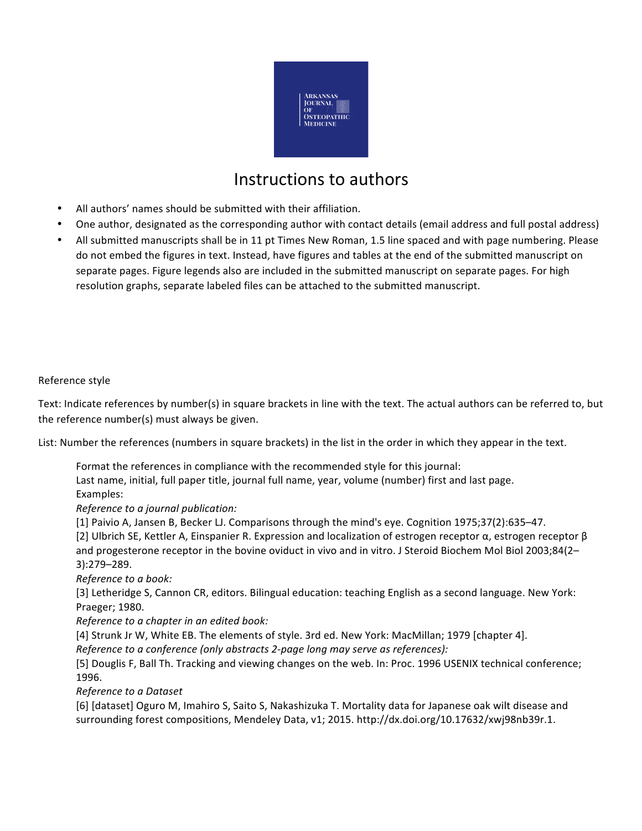

# Instructions to authors

- All authors' names should be submitted with their affiliation.
- One author, designated as the corresponding author with contact details (email address and full postal address)
- All submitted manuscripts shall be in 11 pt Times New Roman, 1.5 line spaced and with page numbering. Please do not embed the figures in text. Instead, have figures and tables at the end of the submitted manuscript on separate pages. Figure legends also are included in the submitted manuscript on separate pages. For high resolution graphs, separate labeled files can be attached to the submitted manuscript.

## Reference style

Text: Indicate references by number(s) in square brackets in line with the text. The actual authors can be referred to, but the reference number(s) must always be given.

List: Number the references (numbers in square brackets) in the list in the order in which they appear in the text.

Format the references in compliance with the recommended style for this journal:

Last name, initial, full paper title, journal full name, year, volume (number) first and last page. Examples:

## *Reference to a journal publication:*

[1] Paivio A, Jansen B, Becker LJ. Comparisons through the mind's eye. Cognition 1975;37(2):635-47.

[2] Ulbrich SE, Kettler A, Einspanier R. Expression and localization of estrogen receptor  $\alpha$ , estrogen receptor  $\beta$ and progesterone receptor in the bovine oviduct in vivo and in vitro. J Steroid Biochem Mol Biol 2003;84(2– 3):279–289.

*Reference to a book:*

[3] Letheridge S, Cannon CR, editors. Bilingual education: teaching English as a second language. New York: Praeger; 1980.

*Reference to a chapter in an edited book:* 

[4] Strunk Jr W, White EB. The elements of style. 3rd ed. New York: MacMillan; 1979 [chapter 4].

*Reference to a conference (only abstracts 2-page long may serve as references):* 

[5] Douglis F, Ball Th. Tracking and viewing changes on the web. In: Proc. 1996 USENIX technical conference; 1996.

*Reference to a Dataset*

[6] [dataset] Oguro M, Imahiro S, Saito S, Nakashizuka T. Mortality data for Japanese oak wilt disease and surrounding forest compositions, Mendeley Data, v1; 2015. http://dx.doi.org/10.17632/xwj98nb39r.1.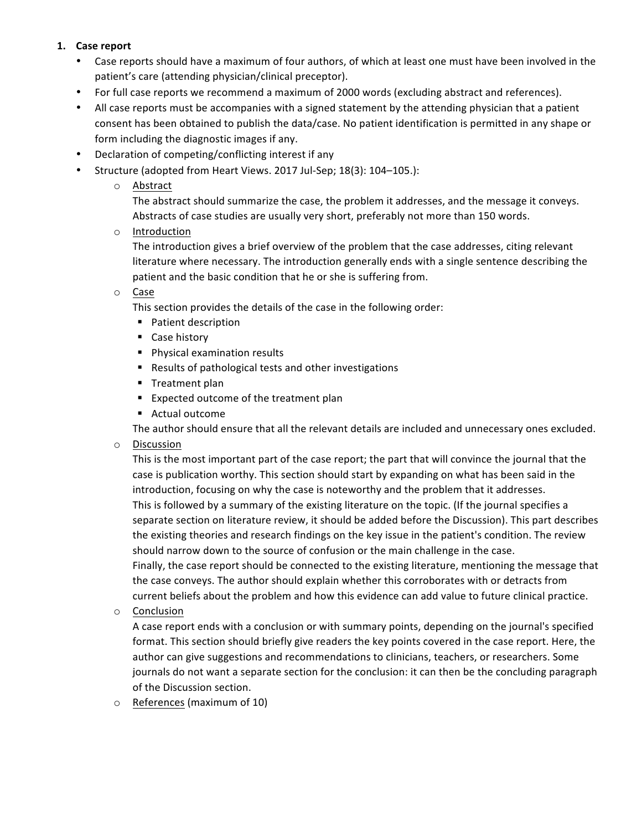# **1. Case report**

- Case reports should have a maximum of four authors, of which at least one must have been involved in the patient's care (attending physician/clinical preceptor).
- For full case reports we recommend a maximum of 2000 words (excluding abstract and references).
- All case reports must be accompanies with a signed statement by the attending physician that a patient consent has been obtained to publish the data/case. No patient identification is permitted in any shape or form including the diagnostic images if any.
- Declaration of competing/conflicting interest if any
- Structure (adopted from Heart Views. 2017 Jul-Sep; 18(3): 104-105.):

# o Abstract

The abstract should summarize the case, the problem it addresses, and the message it conveys. Abstracts of case studies are usually very short, preferably not more than 150 words.

o Introduction

The introduction gives a brief overview of the problem that the case addresses, citing relevant literature where necessary. The introduction generally ends with a single sentence describing the patient and the basic condition that he or she is suffering from.

o Case

This section provides the details of the case in the following order:

- Patient description
- Case history
- Physical examination results
- Results of pathological tests and other investigations
- Treatment plan
- Expected outcome of the treatment plan
- Actual outcome

The author should ensure that all the relevant details are included and unnecessary ones excluded.

o Discussion

This is the most important part of the case report; the part that will convince the journal that the case is publication worthy. This section should start by expanding on what has been said in the introduction, focusing on why the case is noteworthy and the problem that it addresses. This is followed by a summary of the existing literature on the topic. (If the journal specifies a separate section on literature review, it should be added before the Discussion). This part describes the existing theories and research findings on the key issue in the patient's condition. The review should narrow down to the source of confusion or the main challenge in the case.

Finally, the case report should be connected to the existing literature, mentioning the message that the case conveys. The author should explain whether this corroborates with or detracts from current beliefs about the problem and how this evidence can add value to future clinical practice.

o Conclusion

A case report ends with a conclusion or with summary points, depending on the journal's specified format. This section should briefly give readers the key points covered in the case report. Here, the author can give suggestions and recommendations to clinicians, teachers, or researchers. Some journals do not want a separate section for the conclusion: it can then be the concluding paragraph of the Discussion section.

 $\circ$  References (maximum of 10)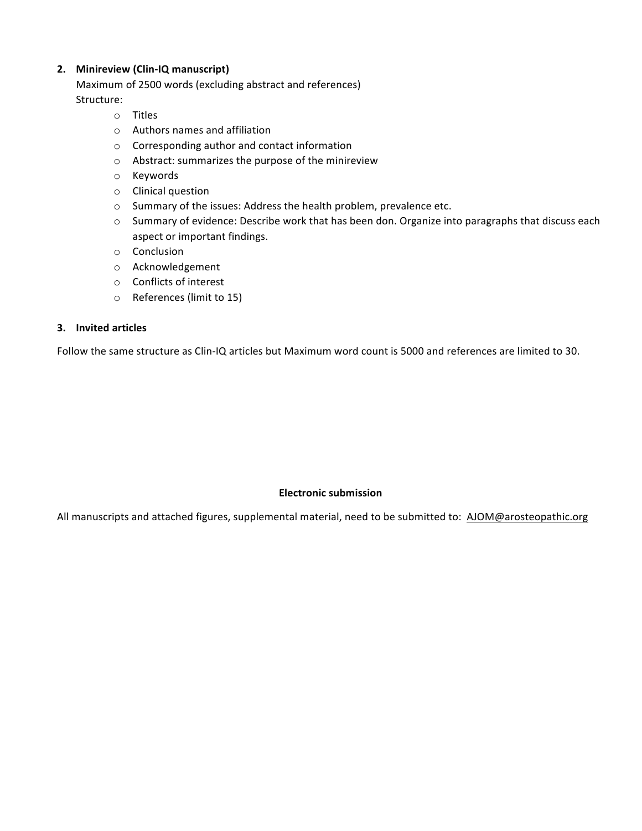# **2. Minireview (Clin-IQ manuscript)**

Maximum of 2500 words (excluding abstract and references) Structure:

- o Titles
- $\circ$  Authors names and affiliation
- $\circ$  Corresponding author and contact information
- $\circ$  Abstract: summarizes the purpose of the minireview
- o Keywords
- o Clinical question
- o Summary of the issues: Address the health problem, prevalence etc.
- o Summary of evidence: Describe work that has been don. Organize into paragraphs that discuss each aspect or important findings.
- o Conclusion
- o Acknowledgement
- $\circ$  Conflicts of interest
- o References (limit to 15)

#### **3. Invited articles**

Follow the same structure as Clin-IQ articles but Maximum word count is 5000 and references are limited to 30.

## **Electronic submission**

All manuscripts and attached figures, supplemental material, need to be submitted to: AJOM@arosteopathic.org